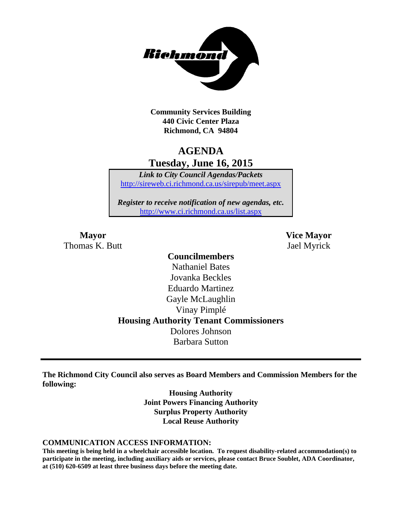

**Community Services Building 440 Civic Center Plaza Richmond, CA 94804**

## **AGENDA Tuesday, June 16, 2015**

*Link to City Council Agendas/Packets* <http://sireweb.ci.richmond.ca.us/sirepub/meet.aspx>

*Register to receive notification of new agendas, etc.* <http://www.ci.richmond.ca.us/list.aspx>

Thomas K. Butt Jael Myrick

**Mayor Vice Mayor**

## **Councilmembers** Nathaniel Bates Jovanka Beckles Eduardo Martinez Gayle McLaughlin Vinay Pimplé **Housing Authority Tenant Commissioners** Dolores Johnson Barbara Sutton

**The Richmond City Council also serves as Board Members and Commission Members for the following:**

> **Housing Authority Joint Powers Financing Authority Surplus Property Authority Local Reuse Authority**

#### **COMMUNICATION ACCESS INFORMATION:**

**This meeting is being held in a wheelchair accessible location. To request disability-related accommodation(s) to participate in the meeting, including auxiliary aids or services, please contact Bruce Soublet, ADA Coordinator, at (510) 620-6509 at least three business days before the meeting date.**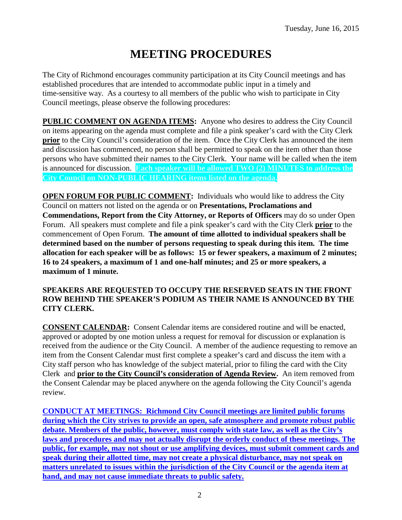# **MEETING PROCEDURES**

The City of Richmond encourages community participation at its City Council meetings and has established procedures that are intended to accommodate public input in a timely and time-sensitive way. As a courtesy to all members of the public who wish to participate in City Council meetings, please observe the following procedures:

**PUBLIC COMMENT ON AGENDA ITEMS:** Anyone who desires to address the City Council on items appearing on the agenda must complete and file a pink speaker's card with the City Clerk **prior** to the City Council's consideration of the item. Once the City Clerk has announced the item and discussion has commenced, no person shall be permitted to speak on the item other than those persons who have submitted their names to the City Clerk. Your name will be called when the item is announced for discussion. **Each speaker will be allowed TWO (2) MINUTES to address the City Council on NON-PUBLIC HEARING items listed on the agenda.**

**OPEN FORUM FOR PUBLIC COMMENT:** Individuals who would like to address the City Council on matters not listed on the agenda or on **Presentations, Proclamations and Commendations, Report from the City Attorney, or Reports of Officers** may do so under Open Forum. All speakers must complete and file a pink speaker's card with the City Clerk **prior** to the commencement of Open Forum. **The amount of time allotted to individual speakers shall be determined based on the number of persons requesting to speak during this item. The time allocation for each speaker will be as follows: 15 or fewer speakers, a maximum of 2 minutes; 16 to 24 speakers, a maximum of 1 and one-half minutes; and 25 or more speakers, a maximum of 1 minute.**

#### **SPEAKERS ARE REQUESTED TO OCCUPY THE RESERVED SEATS IN THE FRONT ROW BEHIND THE SPEAKER'S PODIUM AS THEIR NAME IS ANNOUNCED BY THE CITY CLERK.**

**CONSENT CALENDAR:** Consent Calendar items are considered routine and will be enacted, approved or adopted by one motion unless a request for removal for discussion or explanation is received from the audience or the City Council. A member of the audience requesting to remove an item from the Consent Calendar must first complete a speaker's card and discuss the item with a City staff person who has knowledge of the subject material, prior to filing the card with the City Clerk and **prior to the City Council's consideration of Agenda Review.** An item removed from the Consent Calendar may be placed anywhere on the agenda following the City Council's agenda review.

**CONDUCT AT MEETINGS: Richmond City Council meetings are limited public forums during which the City strives to provide an open, safe atmosphere and promote robust public debate. Members of the public, however, must comply with state law, as well as the City's laws and procedures and may not actually disrupt the orderly conduct of these meetings. The public, for example, may not shout or use amplifying devices, must submit comment cards and speak during their allotted time, may not create a physical disturbance, may not speak on matters unrelated to issues within the jurisdiction of the City Council or the agenda item at hand, and may not cause immediate threats to public safety.**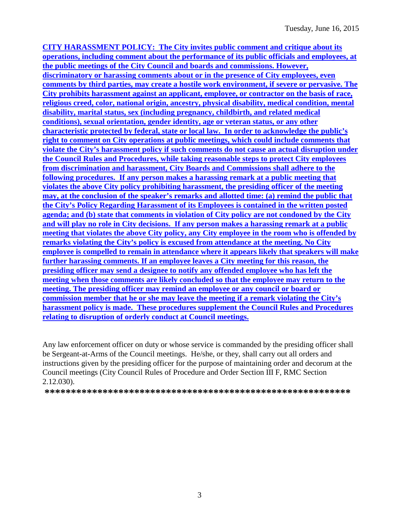**CITY HARASSMENT POLICY: The City invites public comment and critique about its operations, including comment about the performance of its public officials and employees, at the public meetings of the City Council and boards and commissions. However, discriminatory or harassing comments about or in the presence of City employees, even comments by third parties, may create a hostile work environment, if severe or pervasive. The City prohibits harassment against an applicant, employee, or contractor on the basis of race, religious creed, color, national origin, ancestry, physical disability, medical condition, mental disability, marital status, sex (including pregnancy, childbirth, and related medical conditions), sexual orientation, gender identity, age or veteran status, or any other characteristic protected by federal, state or local law. In order to acknowledge the public's right to comment on City operations at public meetings, which could include comments that violate the City's harassment policy if such comments do not cause an actual disruption under the Council Rules and Procedures, while taking reasonable steps to protect City employees from discrimination and harassment, City Boards and Commissions shall adhere to the following procedures. If any person makes a harassing remark at a public meeting that violates the above City policy prohibiting harassment, the presiding officer of the meeting may, at the conclusion of the speaker's remarks and allotted time: (a) remind the public that the City's Policy Regarding Harassment of its Employees is contained in the written posted agenda; and (b) state that comments in violation of City policy are not condoned by the City and will play no role in City decisions. If any person makes a harassing remark at a public meeting that violates the above City policy, any City employee in the room who is offended by remarks violating the City's policy is excused from attendance at the meeting. No City employee is compelled to remain in attendance where it appears likely that speakers will make further harassing comments. If an employee leaves a City meeting for this reason, the presiding officer may send a designee to notify any offended employee who has left the meeting when those comments are likely concluded so that the employee may return to the meeting. The presiding officer may remind an employee or any council or board or commission member that he or she may leave the meeting if a remark violating the City's harassment policy is made. These procedures supplement the Council Rules and Procedures relating to disruption of orderly conduct at Council meetings.**

Any law enforcement officer on duty or whose service is commanded by the presiding officer shall be Sergeant-at-Arms of the Council meetings. He/she, or they, shall carry out all orders and instructions given by the presiding officer for the purpose of maintaining order and decorum at the Council meetings (City Council Rules of Procedure and Order Section III F, RMC Section 2.12.030).

**\*\*\*\*\*\*\*\*\*\*\*\*\*\*\*\*\*\*\*\*\*\*\*\*\*\*\*\*\*\*\*\*\*\*\*\*\*\*\*\*\*\*\*\*\*\*\*\*\*\*\*\*\*\*\*\*\*\***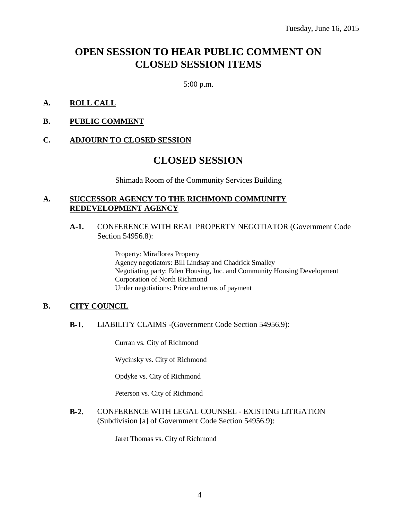## **OPEN SESSION TO HEAR PUBLIC COMMENT ON CLOSED SESSION ITEMS**

5:00 p.m.

#### **A. ROLL CALL**

**B. PUBLIC COMMENT**

#### **C. ADJOURN TO CLOSED SESSION**

### **CLOSED SESSION**

Shimada Room of the Community Services Building

#### **A. SUCCESSOR AGENCY TO THE RICHMOND COMMUNITY REDEVELOPMENT AGENCY**

#### **A-1.** CONFERENCE WITH REAL PROPERTY NEGOTIATOR (Government Code Section 54956.8):

Property: Miraflores Property Agency negotiators: Bill Lindsay and Chadrick Smalley Negotiating party: Eden Housing, Inc. and Community Housing Development Corporation of North Richmond Under negotiations: Price and terms of payment

#### **B. CITY COUNCIL**

**B-1.** LIABILITY CLAIMS -(Government Code Section 54956.9):

Curran vs. City of Richmond

Wycinsky vs. City of Richmond

Opdyke vs. City of Richmond

Peterson vs. City of Richmond

**B-2.** CONFERENCE WITH LEGAL COUNSEL - EXISTING LITIGATION (Subdivision [a] of Government Code Section 54956.9):

Jaret Thomas vs. City of Richmond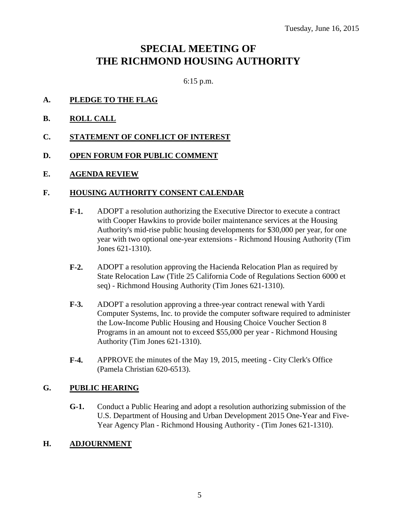## **SPECIAL MEETING OF THE RICHMOND HOUSING AUTHORITY**

6:15 p.m.

- **A. PLEDGE TO THE FLAG**
- **B. ROLL CALL**
- **C. STATEMENT OF CONFLICT OF INTEREST**
- **D. OPEN FORUM FOR PUBLIC COMMENT**
- **E. AGENDA REVIEW**

#### **F. HOUSING AUTHORITY CONSENT CALENDAR**

- **F-1.** ADOPT a resolution authorizing the Executive Director to execute a contract with Cooper Hawkins to provide boiler maintenance services at the Housing Authority's mid-rise public housing developments for \$30,000 per year, for one year with two optional one-year extensions - Richmond Housing Authority (Tim Jones 621-1310).
- **F-2.** ADOPT a resolution approving the Hacienda Relocation Plan as required by State Relocation Law (Title 25 California Code of Regulations Section 6000 et seq) - Richmond Housing Authority (Tim Jones 621-1310).
- **F-3.** ADOPT a resolution approving a three-year contract renewal with Yardi Computer Systems, Inc. to provide the computer software required to administer the Low-Income Public Housing and Housing Choice Voucher Section 8 Programs in an amount not to exceed \$55,000 per year - Richmond Housing Authority (Tim Jones 621-1310).
- **F-4.** APPROVE the minutes of the May 19, 2015, meeting City Clerk's Office (Pamela Christian 620-6513).

#### **G. PUBLIC HEARING**

**G-1.** Conduct a Public Hearing and adopt a resolution authorizing submission of the U.S. Department of Housing and Urban Development 2015 One-Year and Five-Year Agency Plan - Richmond Housing Authority - (Tim Jones 621-1310).

#### **H. ADJOURNMENT**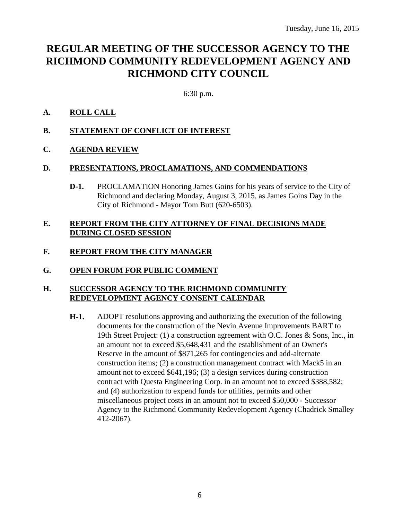## **REGULAR MEETING OF THE SUCCESSOR AGENCY TO THE RICHMOND COMMUNITY REDEVELOPMENT AGENCY AND RICHMOND CITY COUNCIL**

6:30 p.m.

#### **A. ROLL CALL**

- **B. STATEMENT OF CONFLICT OF INTEREST**
- **C. AGENDA REVIEW**

#### **D. PRESENTATIONS, PROCLAMATIONS, AND COMMENDATIONS**

**D-1.** PROCLAMATION Honoring James Goins for his years of service to the City of Richmond and declaring Monday, August 3, 2015, as James Goins Day in the City of Richmond - Mayor Tom Butt (620-6503).

#### **E. REPORT FROM THE CITY ATTORNEY OF FINAL DECISIONS MADE DURING CLOSED SESSION**

### **F. REPORT FROM THE CITY MANAGER**

**G. OPEN FORUM FOR PUBLIC COMMENT**

#### **H. SUCCESSOR AGENCY TO THE RICHMOND COMMUNITY REDEVELOPMENT AGENCY CONSENT CALENDAR**

**H-1.** ADOPT resolutions approving and authorizing the execution of the following documents for the construction of the Nevin Avenue Improvements BART to 19th Street Project: (1) a construction agreement with O.C. Jones & Sons, Inc., in an amount not to exceed \$5,648,431 and the establishment of an Owner's Reserve in the amount of \$871,265 for contingencies and add-alternate construction items; (2) a construction management contract with Mack5 in an amount not to exceed \$641,196; (3) a design services during construction contract with Questa Engineering Corp. in an amount not to exceed \$388,582; and (4) authorization to expend funds for utilities, permits and other miscellaneous project costs in an amount not to exceed \$50,000 - Successor Agency to the Richmond Community Redevelopment Agency (Chadrick Smalley 412-2067).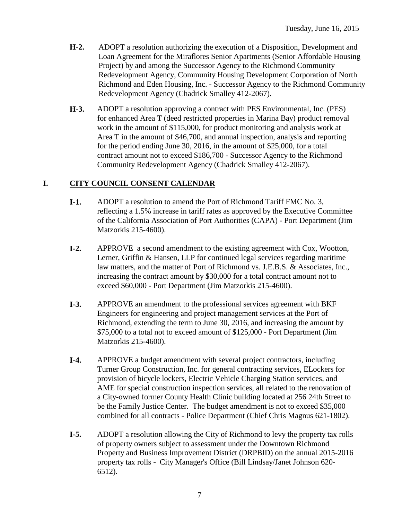- **H-2.** ADOPT a resolution authorizing the execution of a Disposition, Development and Loan Agreement for the Miraflores Senior Apartments (Senior Affordable Housing Project) by and among the Successor Agency to the Richmond Community Redevelopment Agency, Community Housing Development Corporation of North Richmond and Eden Housing, Inc. - Successor Agency to the Richmond Community Redevelopment Agency (Chadrick Smalley 412-2067).
- **H-3.** ADOPT a resolution approving a contract with PES Environmental, Inc. (PES) for enhanced Area T (deed restricted properties in Marina Bay) product removal work in the amount of \$115,000, for product monitoring and analysis work at Area T in the amount of \$46,700, and annual inspection, analysis and reporting for the period ending June 30, 2016, in the amount of \$25,000, for a total contract amount not to exceed \$186,700 - Successor Agency to the Richmond Community Redevelopment Agency (Chadrick Smalley 412-2067).

#### **I. CITY COUNCIL CONSENT CALENDAR**

- **I-1.** ADOPT a resolution to amend the Port of Richmond Tariff FMC No. 3, reflecting a 1.5% increase in tariff rates as approved by the Executive Committee of the California Association of Port Authorities (CAPA) - Port Department (Jim Matzorkis 215-4600).
- **I-2.** APPROVE a second amendment to the existing agreement with Cox, Wootton, Lerner, Griffin & Hansen, LLP for continued legal services regarding maritime law matters, and the matter of Port of Richmond vs. J.E.B.S. & Associates, Inc., increasing the contract amount by \$30,000 for a total contract amount not to exceed \$60,000 - Port Department (Jim Matzorkis 215-4600).
- **I-3.** APPROVE an amendment to the professional services agreement with BKF Engineers for engineering and project management services at the Port of Richmond, extending the term to June 30, 2016, and increasing the amount by \$75,000 to a total not to exceed amount of \$125,000 - Port Department (Jim Matzorkis 215-4600).
- **I-4.** APPROVE a budget amendment with several project contractors, including Turner Group Construction, Inc. for general contracting services, ELockers for provision of bicycle lockers, Electric Vehicle Charging Station services, and AME for special construction inspection services, all related to the renovation of a City-owned former County Health Clinic building located at 256 24th Street to be the Family Justice Center. The budget amendment is not to exceed \$35,000 combined for all contracts - Police Department (Chief Chris Magnus 621-1802).
- **I-5.** ADOPT a resolution allowing the City of Richmond to levy the property tax rolls of property owners subject to assessment under the Downtown Richmond Property and Business Improvement District (DRPBID) on the annual 2015-2016 property tax rolls - City Manager's Office (Bill Lindsay/Janet Johnson 620- 6512).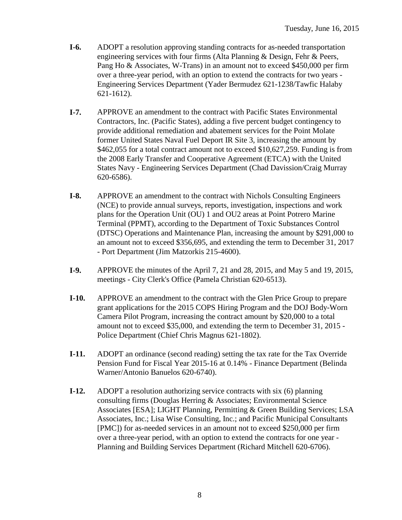- **I-6.** ADOPT a resolution approving standing contracts for as-needed transportation engineering services with four firms (Alta Planning & Design, Fehr & Peers, Pang Ho & Associates, W-Trans) in an amount not to exceed \$450,000 per firm over a three-year period, with an option to extend the contracts for two years - Engineering Services Department (Yader Bermudez 621-1238/Tawfic Halaby 621-1612).
- **I-7.** APPROVE an amendment to the contract with Pacific States Environmental Contractors, Inc. (Pacific States), adding a five percent budget contingency to provide additional remediation and abatement services for the Point Molate former United States Naval Fuel Deport IR Site 3, increasing the amount by \$462,055 for a total contract amount not to exceed \$10,627,259. Funding is from the 2008 Early Transfer and Cooperative Agreement (ETCA) with the United States Navy - Engineering Services Department (Chad Davission/Craig Murray 620-6586).
- **I-8.** APPROVE an amendment to the contract with Nichols Consulting Engineers (NCE) to provide annual surveys, reports, investigation, inspections and work plans for the Operation Unit (OU) 1 and OU2 areas at Point Potrero Marine Terminal (PPMT), according to the Department of Toxic Substances Control (DTSC) Operations and Maintenance Plan, increasing the amount by \$291,000 to an amount not to exceed \$356,695, and extending the term to December 31, 2017 - Port Department (Jim Matzorkis 215-4600).
- **I-9.** APPROVE the minutes of the April 7, 21 and 28, 2015, and May 5 and 19, 2015, meetings - City Clerk's Office (Pamela Christian 620-6513).
- **I-10.** APPROVE an amendment to the contract with the Glen Price Group to prepare grant applications for the 2015 COPS Hiring Program and the DOJ Body-Worn Camera Pilot Program, increasing the contract amount by \$20,000 to a total amount not to exceed \$35,000, and extending the term to December 31, 2015 - Police Department (Chief Chris Magnus 621-1802).
- **I-11.** ADOPT an ordinance (second reading) setting the tax rate for the Tax Override Pension Fund for Fiscal Year 2015-16 at 0.14% - Finance Department (Belinda Warner/Antonio Banuelos 620-6740).
- **I-12.** ADOPT a resolution authorizing service contracts with six (6) planning consulting firms (Douglas Herring & Associates; Environmental Science Associates [ESA]; LIGHT Planning, Permitting & Green Building Services; LSA Associates, Inc.; Lisa Wise Consulting, Inc.; and Pacific Municipal Consultants [PMC]) for as-needed services in an amount not to exceed \$250,000 per firm over a three-year period, with an option to extend the contracts for one year - Planning and Building Services Department (Richard Mitchell 620-6706).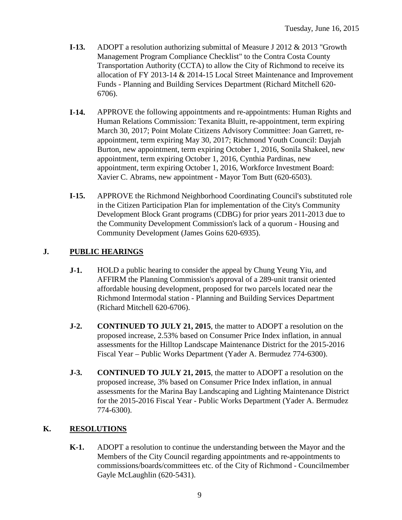- **I-13.** ADOPT a resolution authorizing submittal of Measure J 2012 & 2013 "Growth Management Program Compliance Checklist" to the Contra Costa County Transportation Authority (CCTA) to allow the City of Richmond to receive its allocation of FY 2013-14 & 2014-15 Local Street Maintenance and Improvement Funds - Planning and Building Services Department (Richard Mitchell 620- 6706).
- **I-14.** APPROVE the following appointments and re-appointments: Human Rights and Human Relations Commission: Texanita Bluitt, re-appointment, term expiring March 30, 2017; Point Molate Citizens Advisory Committee: Joan Garrett, reappointment, term expiring May 30, 2017; Richmond Youth Council: Dayjah Burton, new appointment, term expiring October 1, 2016, Sonila Shakeel, new appointment, term expiring October 1, 2016, Cynthia Pardinas, new appointment, term expiring October 1, 2016, Workforce Investment Board: Xavier C. Abrams, new appointment - Mayor Tom Butt (620-6503).
- **I-15.** APPROVE the Richmond Neighborhood Coordinating Council's substituted role in the Citizen Participation Plan for implementation of the City's Community Development Block Grant programs (CDBG) for prior years 2011-2013 due to the Community Development Commission's lack of a quorum - Housing and Community Development (James Goins 620-6935).

### **J. PUBLIC HEARINGS**

- **J-1.** HOLD a public hearing to consider the appeal by Chung Yeung Yiu, and AFFIRM the Planning Commission's approval of a 289-unit transit oriented affordable housing development, proposed for two parcels located near the Richmond Intermodal station - Planning and Building Services Department (Richard Mitchell 620-6706).
- **J-2. CONTINUED TO JULY 21, 2015**, the matter to ADOPT a resolution on the proposed increase, 2.53% based on Consumer Price Index inflation, in annual assessments for the Hilltop Landscape Maintenance District for the 2015-2016 Fiscal Year – Public Works Department (Yader A. Bermudez 774-6300).
- **J-3. CONTINUED TO JULY 21, 2015**, the matter to ADOPT a resolution on the proposed increase, 3% based on Consumer Price Index inflation, in annual assessments for the Marina Bay Landscaping and Lighting Maintenance District for the 2015-2016 Fiscal Year - Public Works Department (Yader A. Bermudez 774-6300).

### **K. RESOLUTIONS**

**K-1.** ADOPT a resolution to continue the understanding between the Mayor and the Members of the City Council regarding appointments and re-appointments to commissions/boards/committees etc. of the City of Richmond - Councilmember Gayle McLaughlin (620-5431).